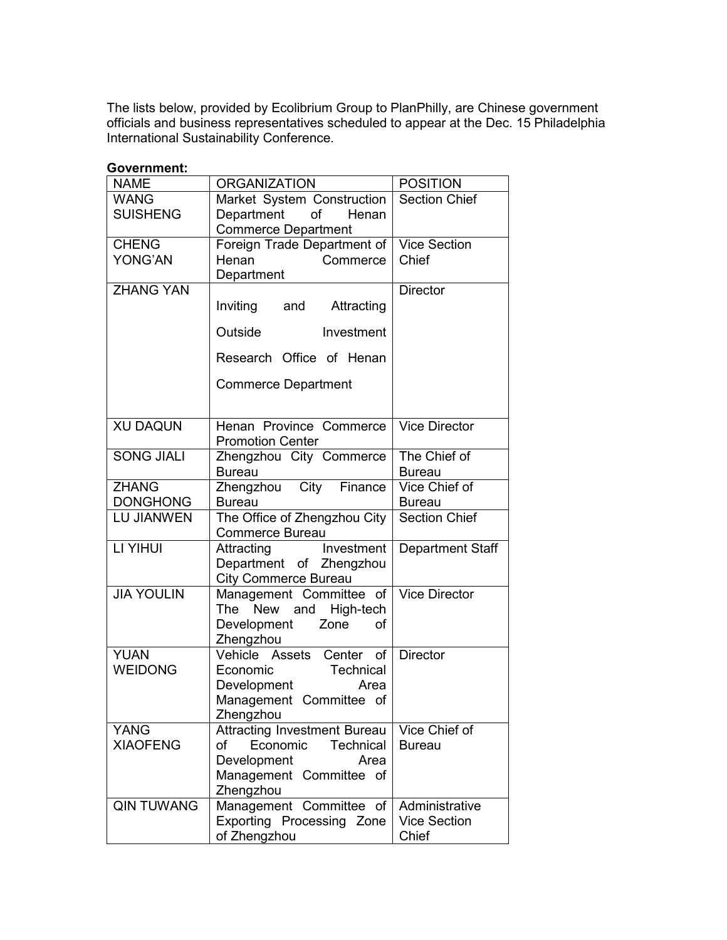The lists below, provided by Ecolibrium Group to PlanPhilly, are Chinese government officials and business representatives scheduled to appear at the Dec. 15 Philadelphia International Sustainability Conference.

| Government:       |                                     |                         |
|-------------------|-------------------------------------|-------------------------|
| <b>NAME</b>       | <b>ORGANIZATION</b>                 | <b>POSITION</b>         |
| <b>WANG</b>       | Market System Construction          | <b>Section Chief</b>    |
| <b>SUISHENG</b>   | Department<br>of<br>Henan           |                         |
|                   | <b>Commerce Department</b>          |                         |
| <b>CHENG</b>      | Foreign Trade Department of         | <b>Vice Section</b>     |
| YONG'AN           | Commerce<br>Henan                   | Chief                   |
|                   | Department                          |                         |
| <b>ZHANG YAN</b>  |                                     | <b>Director</b>         |
|                   | Inviting<br>and<br>Attracting       |                         |
|                   | Investment<br>Outside               |                         |
|                   | Research Office of Henan            |                         |
|                   | <b>Commerce Department</b>          |                         |
|                   |                                     |                         |
| <b>XU DAQUN</b>   | Henan Province Commerce             | <b>Vice Director</b>    |
|                   | <b>Promotion Center</b>             |                         |
| SONG JIALI        | Zhengzhou City Commerce             | The Chief of            |
|                   | <b>Bureau</b>                       | <b>Bureau</b>           |
| <b>ZHANG</b>      | Zhengzhou City Finance              | Vice Chief of           |
| <b>DONGHONG</b>   | <b>Bureau</b>                       | <b>Bureau</b>           |
| <b>LU JIANWEN</b> | The Office of Zhengzhou City        | <b>Section Chief</b>    |
|                   | Commerce Bureau                     |                         |
| LI YIHUI          | Investment<br>Attracting            | <b>Department Staff</b> |
|                   | Department of Zhengzhou             |                         |
|                   | <b>City Commerce Bureau</b>         |                         |
| <b>JIA YOULIN</b> | Management Committee of             | <b>Vice Director</b>    |
|                   | The New and<br>High-tech            |                         |
|                   | Development<br>Zone<br>οf           |                         |
|                   | Zhengzhou                           |                         |
| <b>YUAN</b>       | Vehicle Assets<br>Center of         | <b>Director</b>         |
| <b>WEIDONG</b>    | Economic<br>Technical               |                         |
|                   | Development<br>Area                 |                         |
|                   | Management Committee of             |                         |
|                   | Zhengzhou                           |                         |
| <b>YANG</b>       | <b>Attracting Investment Bureau</b> | Vice Chief of           |
| <b>XIAOFENG</b>   | Economic<br>of<br><b>Technical</b>  | <b>Bureau</b>           |
|                   | Development<br>Area                 |                         |
|                   | Management Committee of             |                         |
|                   | Zhengzhou                           |                         |
| <b>QIN TUWANG</b> | Management Committee of             | Administrative          |
|                   | Exporting Processing Zone           | <b>Vice Section</b>     |
|                   | of Zhengzhou                        | Chief                   |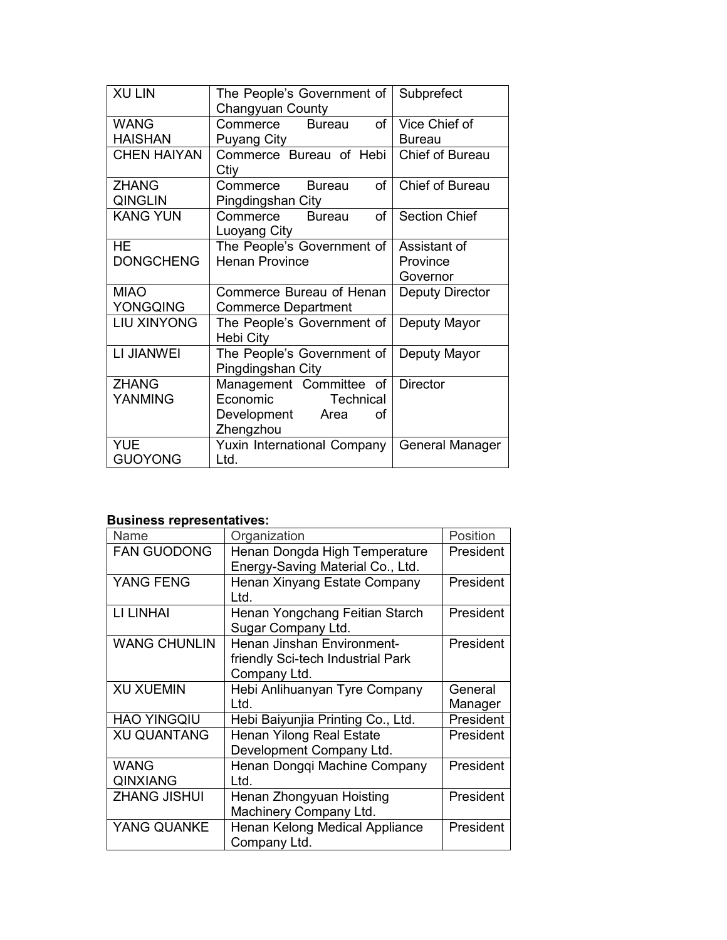| <b>XU LIN</b>      | The People's Government of      | Subprefect             |
|--------------------|---------------------------------|------------------------|
|                    | Changyuan County                |                        |
| <b>WANG</b>        | of<br><b>Bureau</b><br>Commerce | Vice Chief of          |
| <b>HAISHAN</b>     | <b>Puyang City</b>              | <b>Bureau</b>          |
| <b>CHEN HAIYAN</b> | Commerce Bureau of Hebi         | Chief of Bureau        |
|                    | Ctiy                            |                        |
| <b>ZHANG</b>       | of<br>Commerce<br><b>Bureau</b> | Chief of Bureau        |
| <b>QINGLIN</b>     | Pingdingshan City               |                        |
| <b>KANG YUN</b>    | Commerce<br>of<br><b>Bureau</b> | <b>Section Chief</b>   |
|                    | Luoyang City                    |                        |
| <b>HE</b>          | The People's Government of      | Assistant of           |
| <b>DONGCHENG</b>   | <b>Henan Province</b>           | Province               |
|                    |                                 | Governor               |
| <b>MIAO</b>        | Commerce Bureau of Henan        | Deputy Director        |
| YONGQING           | <b>Commerce Department</b>      |                        |
| <b>LIU XINYONG</b> | The People's Government of      | Deputy Mayor           |
|                    | Hebi City                       |                        |
| LI JIANWEI         | The People's Government of      | Deputy Mayor           |
|                    | Pingdingshan City               |                        |
| <b>ZHANG</b>       | Management Committee of         | <b>Director</b>        |
| YANMING            | Economic<br>Technical           |                        |
|                    | Development<br>Area<br>Ωf       |                        |
|                    | Zhengzhou                       |                        |
| <b>YUE</b>         | Yuxin International Company     | <b>General Manager</b> |
| <b>GUOYONG</b>     | Ltd.                            |                        |

## Business representatives:

| Name                           | Organization                                                                    | Position           |
|--------------------------------|---------------------------------------------------------------------------------|--------------------|
| <b>FAN GUODONG</b>             | Henan Dongda High Temperature<br>Energy-Saving Material Co., Ltd.               | President          |
| YANG FENG                      | Henan Xinyang Estate Company<br>Ltd.                                            | President          |
| LI LINHAI                      | Henan Yongchang Feitian Starch<br>Sugar Company Ltd.                            | President          |
| <b>WANG CHUNLIN</b>            | Henan Jinshan Environment-<br>friendly Sci-tech Industrial Park<br>Company Ltd. | President          |
| <b>XU XUEMIN</b>               | Hebi Anlihuanyan Tyre Company<br>Ltd.                                           | General<br>Manager |
| <b>HAO YINGQIU</b>             | Hebi Baiyunjia Printing Co., Ltd.                                               | President          |
| <b>XU QUANTANG</b>             | Henan Yilong Real Estate<br>Development Company Ltd.                            | President          |
| <b>WANG</b><br><b>QINXIANG</b> | Henan Dongqi Machine Company<br>Ltd.                                            | President          |
| <b>ZHANG JISHUI</b>            | Henan Zhongyuan Hoisting<br>Machinery Company Ltd.                              | President          |
| YANG QUANKE                    | Henan Kelong Medical Appliance<br>Company Ltd.                                  | President          |